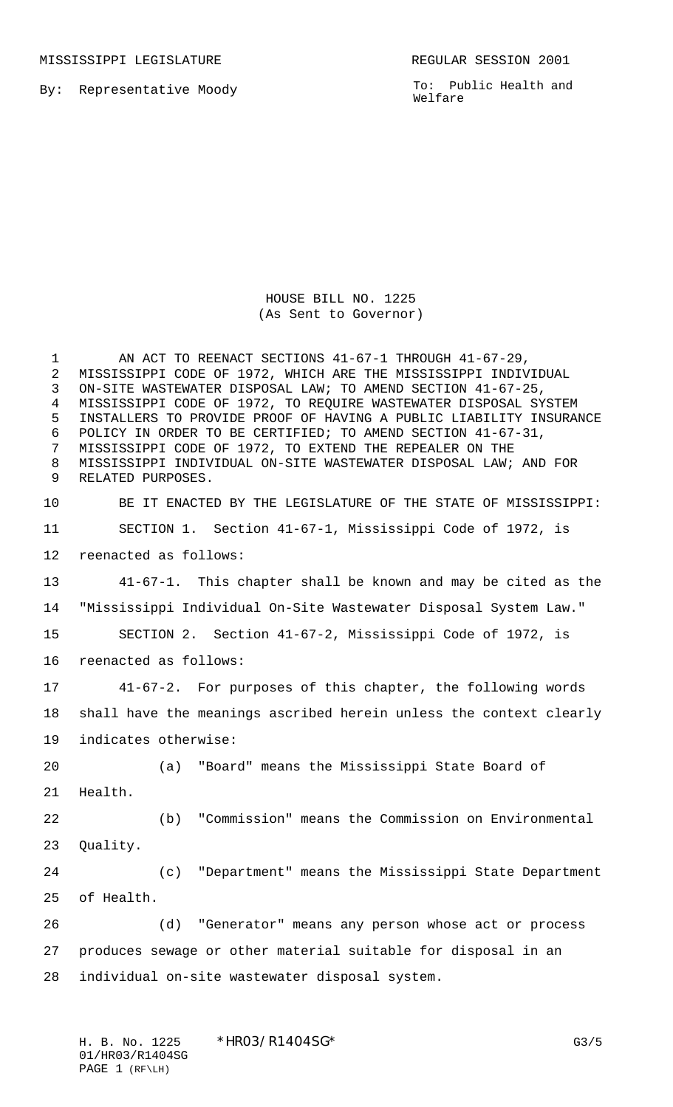MISSISSIPPI LEGISLATURE **REGULAR SESSION 2001** 

By: Representative Moody

To: Public Health and Welfare

HOUSE BILL NO. 1225 (As Sent to Governor)

1 AN ACT TO REENACT SECTIONS 41-67-1 THROUGH 41-67-29, MISSISSIPPI CODE OF 1972, WHICH ARE THE MISSISSIPPI INDIVIDUAL ON-SITE WASTEWATER DISPOSAL LAW; TO AMEND SECTION 41-67-25, MISSISSIPPI CODE OF 1972, TO REQUIRE WASTEWATER DISPOSAL SYSTEM INSTALLERS TO PROVIDE PROOF OF HAVING A PUBLIC LIABILITY INSURANCE POLICY IN ORDER TO BE CERTIFIED; TO AMEND SECTION 41-67-31, MISSISSIPPI CODE OF 1972, TO EXTEND THE REPEALER ON THE MISSISSIPPI INDIVIDUAL ON-SITE WASTEWATER DISPOSAL LAW; AND FOR RELATED PURPOSES.

 BE IT ENACTED BY THE LEGISLATURE OF THE STATE OF MISSISSIPPI: SECTION 1. Section 41-67-1, Mississippi Code of 1972, is reenacted as follows: 41-67-1. This chapter shall be known and may be cited as the "Mississippi Individual On-Site Wastewater Disposal System Law." SECTION 2. Section 41-67-2, Mississippi Code of 1972, is reenacted as follows: 41-67-2. For purposes of this chapter, the following words shall have the meanings ascribed herein unless the context clearly indicates otherwise: (a) "Board" means the Mississippi State Board of Health. (b) "Commission" means the Commission on Environmental Quality. (c) "Department" means the Mississippi State Department of Health. (d) "Generator" means any person whose act or process

 produces sewage or other material suitable for disposal in an individual on-site wastewater disposal system.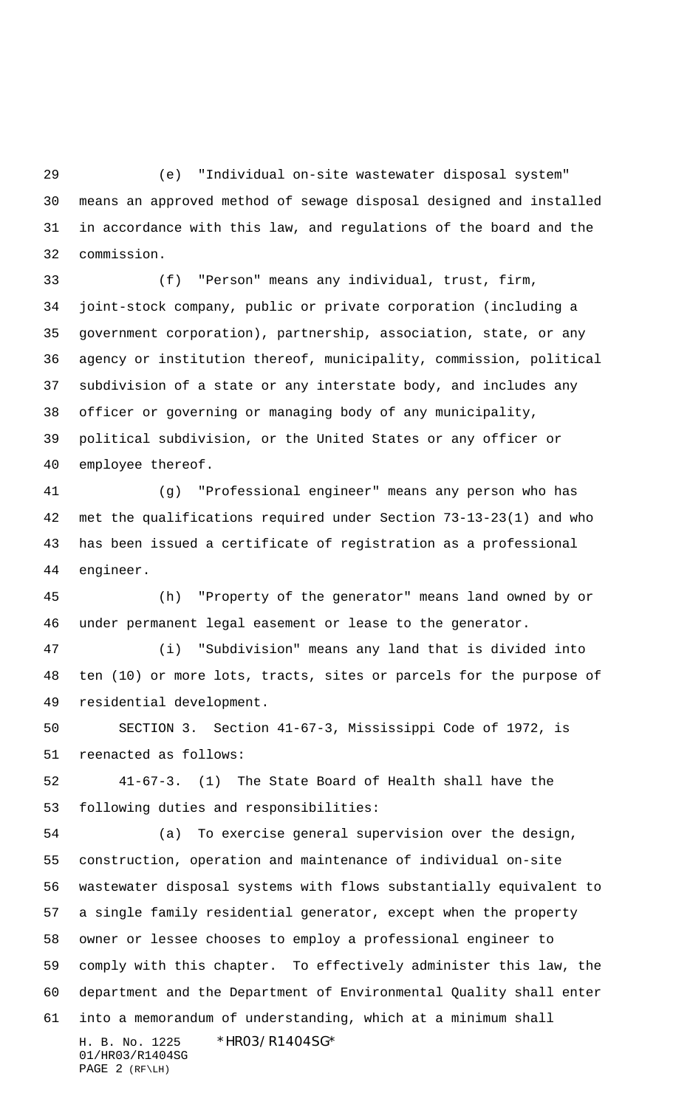(e) "Individual on-site wastewater disposal system" means an approved method of sewage disposal designed and installed in accordance with this law, and regulations of the board and the commission.

 (f) "Person" means any individual, trust, firm, joint-stock company, public or private corporation (including a government corporation), partnership, association, state, or any agency or institution thereof, municipality, commission, political subdivision of a state or any interstate body, and includes any officer or governing or managing body of any municipality, political subdivision, or the United States or any officer or employee thereof.

 (g) "Professional engineer" means any person who has met the qualifications required under Section 73-13-23(1) and who has been issued a certificate of registration as a professional engineer.

 (h) "Property of the generator" means land owned by or under permanent legal easement or lease to the generator.

 (i) "Subdivision" means any land that is divided into ten (10) or more lots, tracts, sites or parcels for the purpose of residential development.

 SECTION 3. Section 41-67-3, Mississippi Code of 1972, is reenacted as follows:

 41-67-3. (1) The State Board of Health shall have the following duties and responsibilities:

H. B. No. 1225 \* HRO3/R14O4SG\* 01/HR03/R1404SG PAGE 2 (RF\LH) (a) To exercise general supervision over the design, construction, operation and maintenance of individual on-site wastewater disposal systems with flows substantially equivalent to a single family residential generator, except when the property owner or lessee chooses to employ a professional engineer to comply with this chapter. To effectively administer this law, the department and the Department of Environmental Quality shall enter into a memorandum of understanding, which at a minimum shall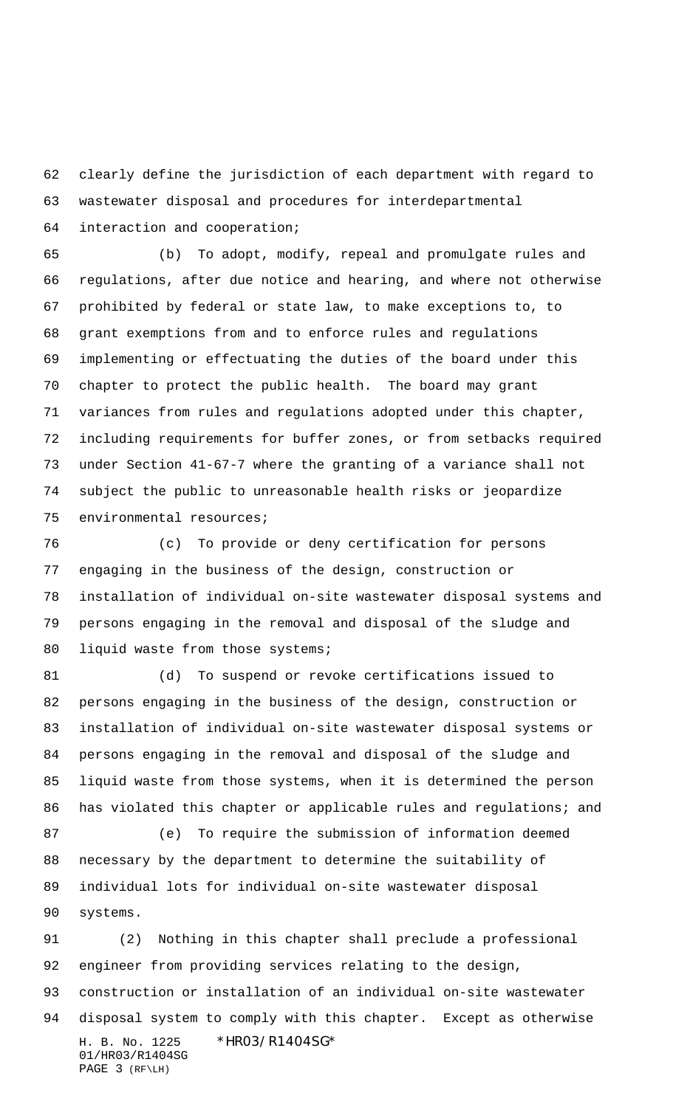clearly define the jurisdiction of each department with regard to wastewater disposal and procedures for interdepartmental interaction and cooperation;

 (b) To adopt, modify, repeal and promulgate rules and regulations, after due notice and hearing, and where not otherwise prohibited by federal or state law, to make exceptions to, to grant exemptions from and to enforce rules and regulations implementing or effectuating the duties of the board under this chapter to protect the public health. The board may grant variances from rules and regulations adopted under this chapter, including requirements for buffer zones, or from setbacks required under Section 41-67-7 where the granting of a variance shall not subject the public to unreasonable health risks or jeopardize environmental resources;

 (c) To provide or deny certification for persons engaging in the business of the design, construction or installation of individual on-site wastewater disposal systems and persons engaging in the removal and disposal of the sludge and 80 liquid waste from those systems;

 (d) To suspend or revoke certifications issued to persons engaging in the business of the design, construction or installation of individual on-site wastewater disposal systems or persons engaging in the removal and disposal of the sludge and liquid waste from those systems, when it is determined the person 86 has violated this chapter or applicable rules and regulations; and

 (e) To require the submission of information deemed necessary by the department to determine the suitability of individual lots for individual on-site wastewater disposal systems.

H. B. No. 1225 \* HRO3/R14O4SG\* 01/HR03/R1404SG PAGE 3 (RF\LH) (2) Nothing in this chapter shall preclude a professional engineer from providing services relating to the design, construction or installation of an individual on-site wastewater disposal system to comply with this chapter. Except as otherwise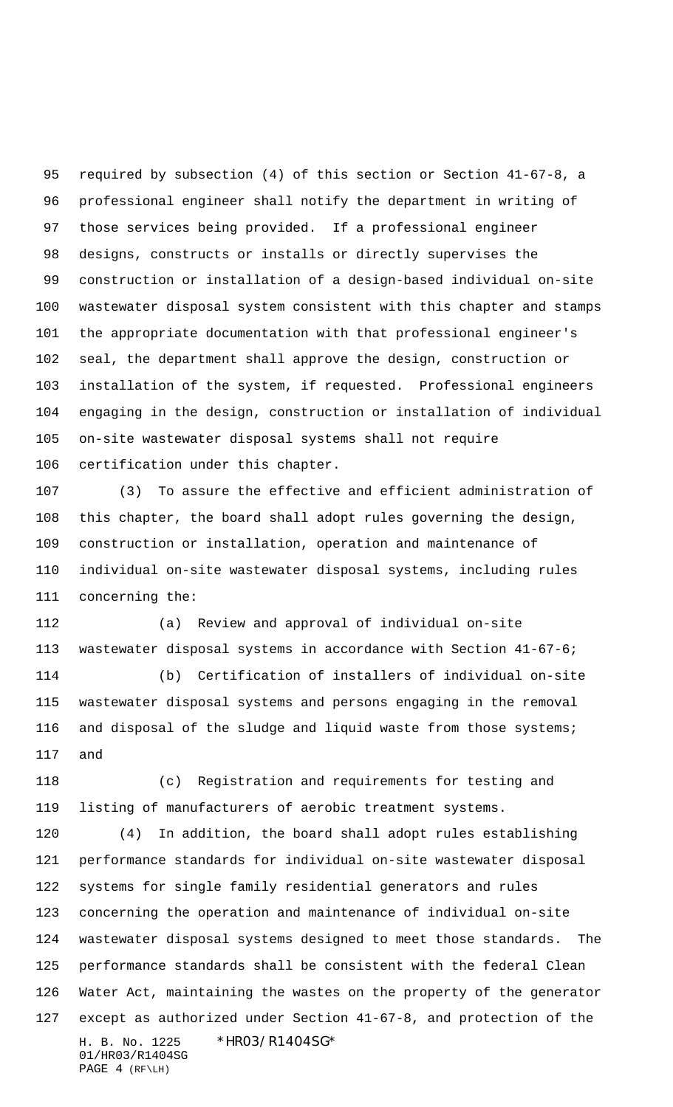required by subsection (4) of this section or Section 41-67-8, a professional engineer shall notify the department in writing of those services being provided. If a professional engineer designs, constructs or installs or directly supervises the construction or installation of a design-based individual on-site wastewater disposal system consistent with this chapter and stamps the appropriate documentation with that professional engineer's seal, the department shall approve the design, construction or installation of the system, if requested. Professional engineers engaging in the design, construction or installation of individual on-site wastewater disposal systems shall not require certification under this chapter.

 (3) To assure the effective and efficient administration of this chapter, the board shall adopt rules governing the design, construction or installation, operation and maintenance of individual on-site wastewater disposal systems, including rules concerning the:

 (a) Review and approval of individual on-site wastewater disposal systems in accordance with Section 41-67-6;

 (b) Certification of installers of individual on-site wastewater disposal systems and persons engaging in the removal and disposal of the sludge and liquid waste from those systems; and

 (c) Registration and requirements for testing and listing of manufacturers of aerobic treatment systems.

H. B. No. 1225 \* HRO3/R1404SG\* 01/HR03/R1404SG PAGE 4 (RF\LH) (4) In addition, the board shall adopt rules establishing performance standards for individual on-site wastewater disposal systems for single family residential generators and rules concerning the operation and maintenance of individual on-site wastewater disposal systems designed to meet those standards. The performance standards shall be consistent with the federal Clean Water Act, maintaining the wastes on the property of the generator except as authorized under Section 41-67-8, and protection of the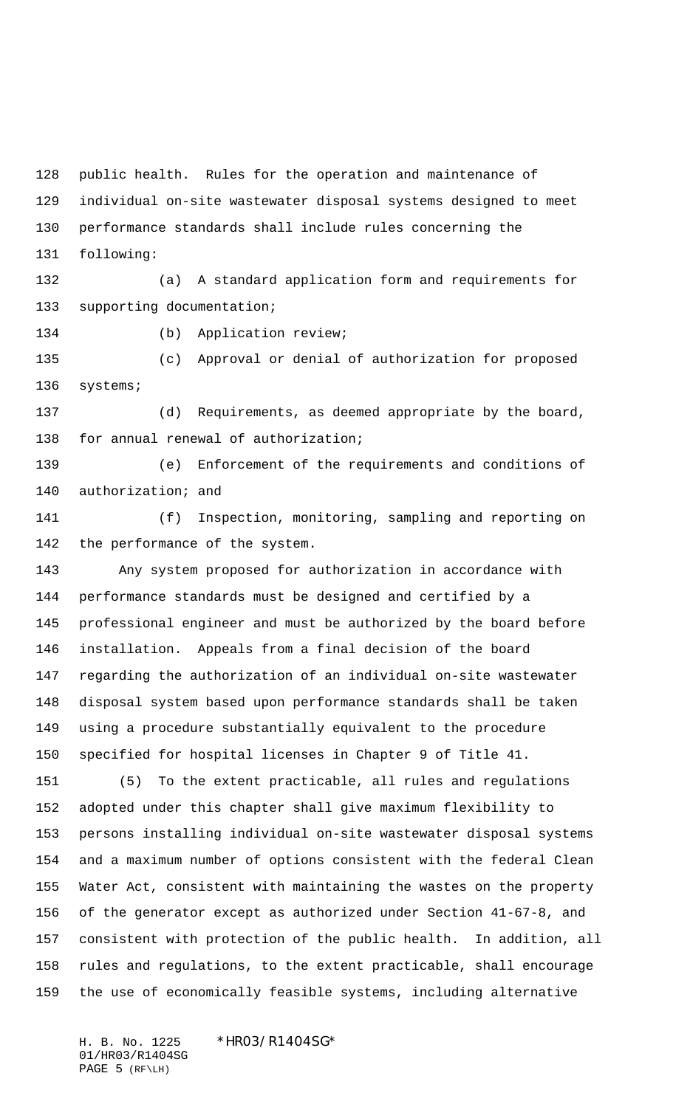public health. Rules for the operation and maintenance of individual on-site wastewater disposal systems designed to meet performance standards shall include rules concerning the following:

 (a) A standard application form and requirements for supporting documentation;

134 (b) Application review;

 (c) Approval or denial of authorization for proposed systems;

 (d) Requirements, as deemed appropriate by the board, for annual renewal of authorization;

 (e) Enforcement of the requirements and conditions of 140 authorization; and

 (f) Inspection, monitoring, sampling and reporting on the performance of the system.

 Any system proposed for authorization in accordance with performance standards must be designed and certified by a professional engineer and must be authorized by the board before installation. Appeals from a final decision of the board regarding the authorization of an individual on-site wastewater disposal system based upon performance standards shall be taken using a procedure substantially equivalent to the procedure specified for hospital licenses in Chapter 9 of Title 41.

 (5) To the extent practicable, all rules and regulations adopted under this chapter shall give maximum flexibility to persons installing individual on-site wastewater disposal systems and a maximum number of options consistent with the federal Clean Water Act, consistent with maintaining the wastes on the property of the generator except as authorized under Section 41-67-8, and consistent with protection of the public health. In addition, all rules and regulations, to the extent practicable, shall encourage the use of economically feasible systems, including alternative

H. B. No. 1225 \*HR03/R1404SG\* 01/HR03/R1404SG PAGE 5 (RF\LH)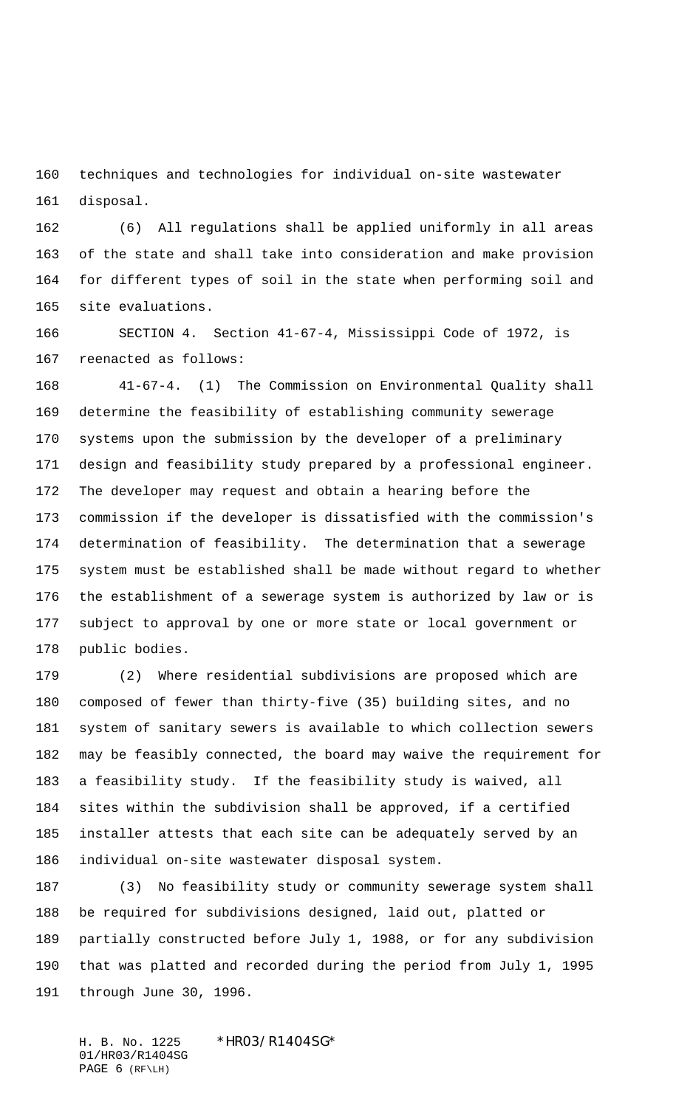techniques and technologies for individual on-site wastewater disposal.

 (6) All regulations shall be applied uniformly in all areas of the state and shall take into consideration and make provision for different types of soil in the state when performing soil and site evaluations.

 SECTION 4. Section 41-67-4, Mississippi Code of 1972, is reenacted as follows:

 41-67-4. (1) The Commission on Environmental Quality shall determine the feasibility of establishing community sewerage systems upon the submission by the developer of a preliminary design and feasibility study prepared by a professional engineer. The developer may request and obtain a hearing before the commission if the developer is dissatisfied with the commission's determination of feasibility. The determination that a sewerage system must be established shall be made without regard to whether the establishment of a sewerage system is authorized by law or is subject to approval by one or more state or local government or public bodies.

 (2) Where residential subdivisions are proposed which are composed of fewer than thirty-five (35) building sites, and no system of sanitary sewers is available to which collection sewers may be feasibly connected, the board may waive the requirement for a feasibility study. If the feasibility study is waived, all sites within the subdivision shall be approved, if a certified installer attests that each site can be adequately served by an individual on-site wastewater disposal system.

 (3) No feasibility study or community sewerage system shall be required for subdivisions designed, laid out, platted or partially constructed before July 1, 1988, or for any subdivision that was platted and recorded during the period from July 1, 1995 through June 30, 1996.

H. B. No. 1225 \* HRO3/R1404SG\* 01/HR03/R1404SG PAGE 6 (RF\LH)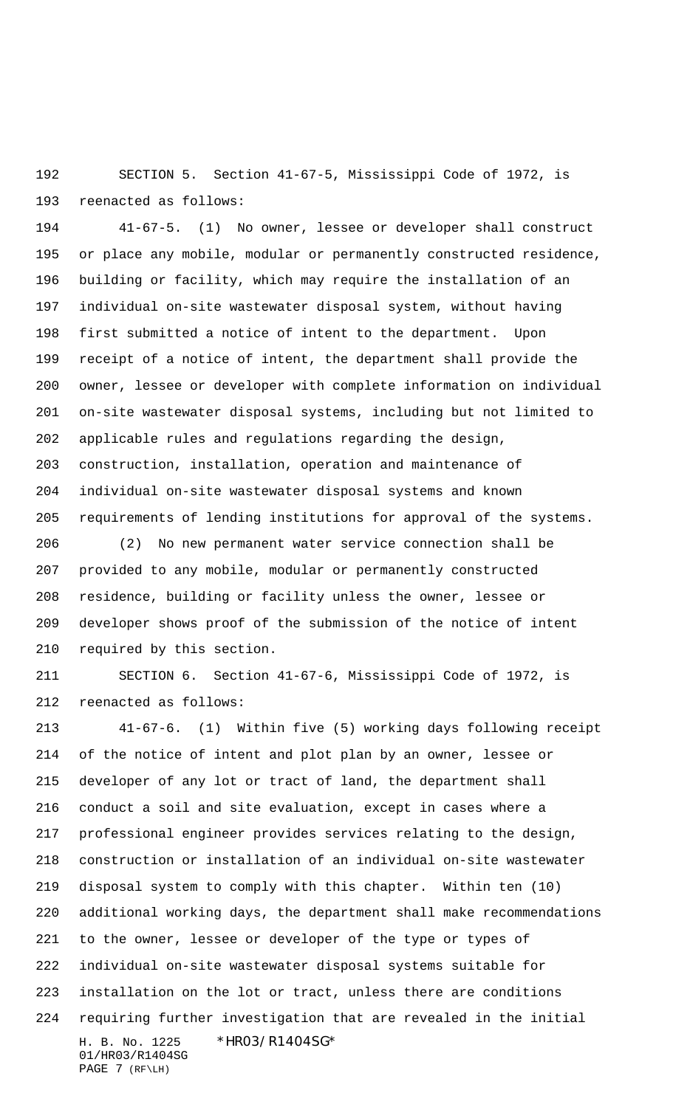SECTION 5. Section 41-67-5, Mississippi Code of 1972, is reenacted as follows:

 41-67-5. (1) No owner, lessee or developer shall construct or place any mobile, modular or permanently constructed residence, building or facility, which may require the installation of an individual on-site wastewater disposal system, without having first submitted a notice of intent to the department. Upon receipt of a notice of intent, the department shall provide the owner, lessee or developer with complete information on individual on-site wastewater disposal systems, including but not limited to applicable rules and regulations regarding the design, construction, installation, operation and maintenance of individual on-site wastewater disposal systems and known requirements of lending institutions for approval of the systems.

 (2) No new permanent water service connection shall be provided to any mobile, modular or permanently constructed residence, building or facility unless the owner, lessee or developer shows proof of the submission of the notice of intent required by this section.

 SECTION 6. Section 41-67-6, Mississippi Code of 1972, is reenacted as follows:

H. B. No. 1225 \* HRO3/R14O4SG\* 01/HR03/R1404SG PAGE 7 (RF\LH) 41-67-6. (1) Within five (5) working days following receipt of the notice of intent and plot plan by an owner, lessee or developer of any lot or tract of land, the department shall conduct a soil and site evaluation, except in cases where a professional engineer provides services relating to the design, construction or installation of an individual on-site wastewater disposal system to comply with this chapter. Within ten (10) additional working days, the department shall make recommendations to the owner, lessee or developer of the type or types of individual on-site wastewater disposal systems suitable for installation on the lot or tract, unless there are conditions requiring further investigation that are revealed in the initial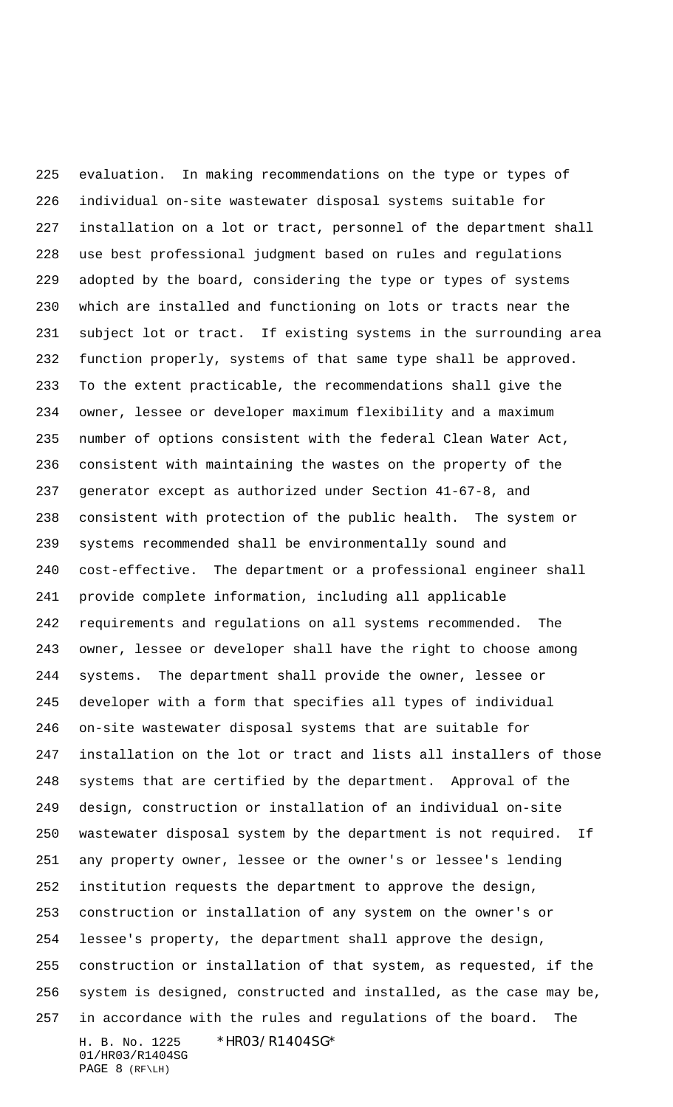H. B. No. 1225 \* HRO3/R14O4SG\* 01/HR03/R1404SG PAGE 8 (RF\LH) evaluation. In making recommendations on the type or types of individual on-site wastewater disposal systems suitable for installation on a lot or tract, personnel of the department shall use best professional judgment based on rules and regulations adopted by the board, considering the type or types of systems which are installed and functioning on lots or tracts near the subject lot or tract. If existing systems in the surrounding area function properly, systems of that same type shall be approved. To the extent practicable, the recommendations shall give the owner, lessee or developer maximum flexibility and a maximum number of options consistent with the federal Clean Water Act, consistent with maintaining the wastes on the property of the generator except as authorized under Section 41-67-8, and consistent with protection of the public health. The system or systems recommended shall be environmentally sound and cost-effective. The department or a professional engineer shall provide complete information, including all applicable requirements and regulations on all systems recommended. The owner, lessee or developer shall have the right to choose among systems. The department shall provide the owner, lessee or developer with a form that specifies all types of individual on-site wastewater disposal systems that are suitable for installation on the lot or tract and lists all installers of those systems that are certified by the department. Approval of the design, construction or installation of an individual on-site wastewater disposal system by the department is not required. If any property owner, lessee or the owner's or lessee's lending institution requests the department to approve the design, construction or installation of any system on the owner's or lessee's property, the department shall approve the design, construction or installation of that system, as requested, if the system is designed, constructed and installed, as the case may be, in accordance with the rules and regulations of the board. The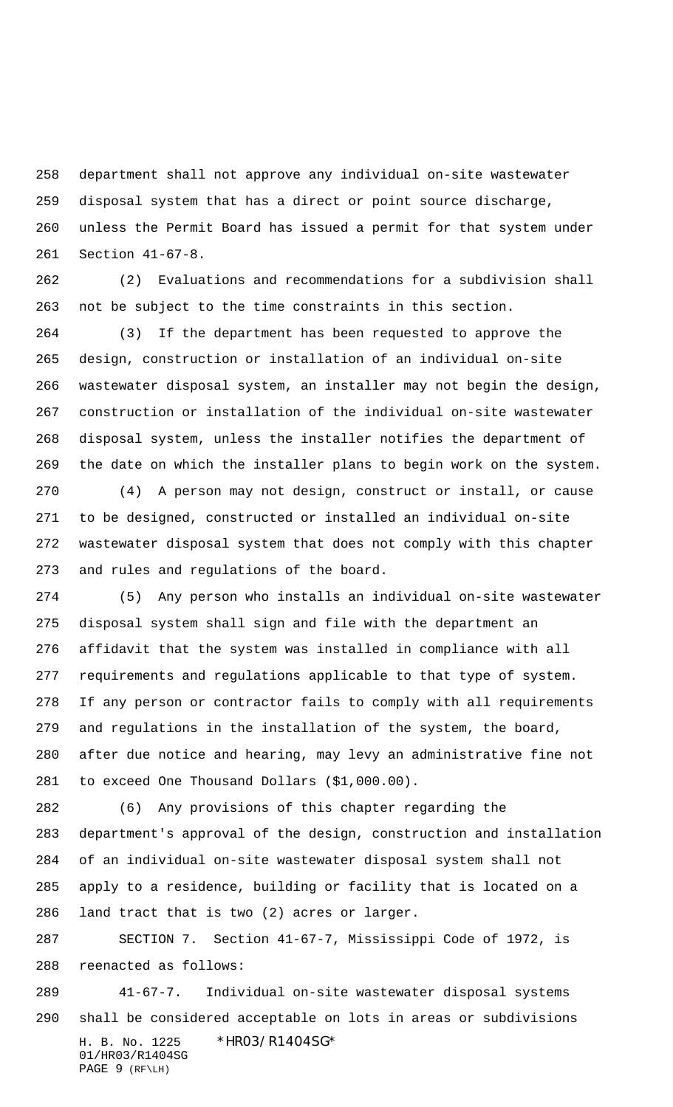department shall not approve any individual on-site wastewater disposal system that has a direct or point source discharge, unless the Permit Board has issued a permit for that system under Section 41-67-8.

 (2) Evaluations and recommendations for a subdivision shall not be subject to the time constraints in this section.

 (3) If the department has been requested to approve the design, construction or installation of an individual on-site wastewater disposal system, an installer may not begin the design, construction or installation of the individual on-site wastewater disposal system, unless the installer notifies the department of the date on which the installer plans to begin work on the system.

 (4) A person may not design, construct or install, or cause to be designed, constructed or installed an individual on-site wastewater disposal system that does not comply with this chapter and rules and regulations of the board.

 (5) Any person who installs an individual on-site wastewater disposal system shall sign and file with the department an affidavit that the system was installed in compliance with all requirements and regulations applicable to that type of system. If any person or contractor fails to comply with all requirements and regulations in the installation of the system, the board, after due notice and hearing, may levy an administrative fine not to exceed One Thousand Dollars (\$1,000.00).

 (6) Any provisions of this chapter regarding the department's approval of the design, construction and installation of an individual on-site wastewater disposal system shall not apply to a residence, building or facility that is located on a land tract that is two (2) acres or larger.

 SECTION 7. Section 41-67-7, Mississippi Code of 1972, is reenacted as follows:

H. B. No. 1225 \* HRO3/R14O4SG\* 01/HR03/R1404SG PAGE 9 (RF\LH) 41-67-7. Individual on-site wastewater disposal systems shall be considered acceptable on lots in areas or subdivisions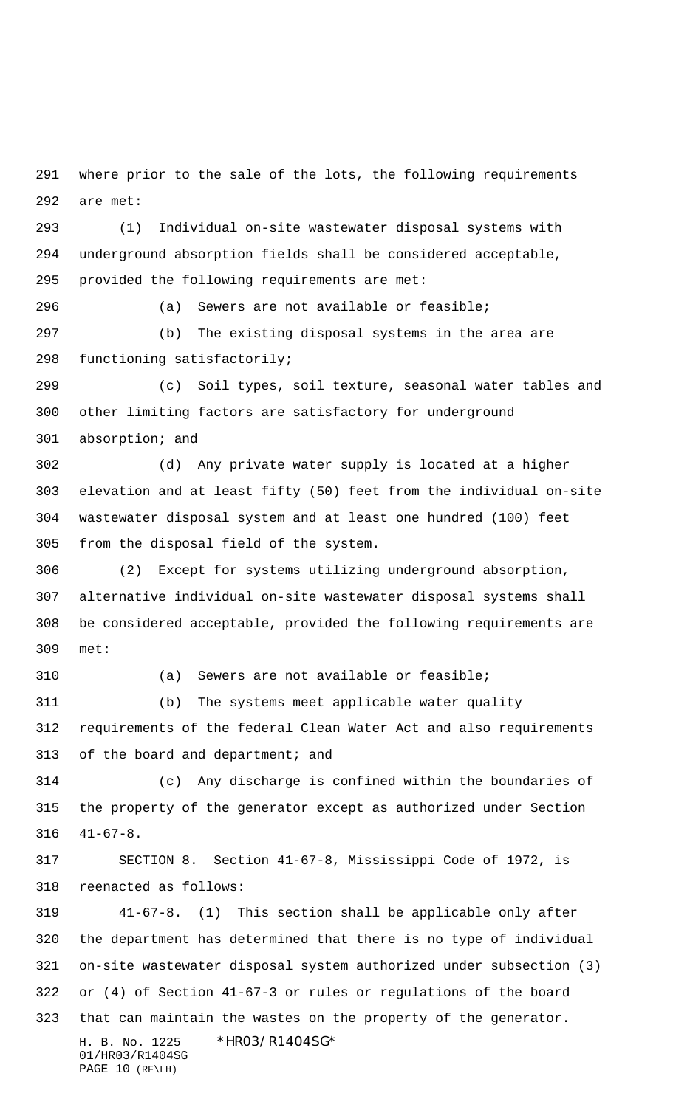where prior to the sale of the lots, the following requirements are met:

 (1) Individual on-site wastewater disposal systems with underground absorption fields shall be considered acceptable, provided the following requirements are met:

 (a) Sewers are not available or feasible; (b) The existing disposal systems in the area are functioning satisfactorily;

 (c) Soil types, soil texture, seasonal water tables and other limiting factors are satisfactory for underground absorption; and

 (d) Any private water supply is located at a higher elevation and at least fifty (50) feet from the individual on-site wastewater disposal system and at least one hundred (100) feet from the disposal field of the system.

 (2) Except for systems utilizing underground absorption, alternative individual on-site wastewater disposal systems shall be considered acceptable, provided the following requirements are met:

(a) Sewers are not available or feasible;

 (b) The systems meet applicable water quality requirements of the federal Clean Water Act and also requirements 313 of the board and department; and

 (c) Any discharge is confined within the boundaries of the property of the generator except as authorized under Section 41-67-8.

 SECTION 8. Section 41-67-8, Mississippi Code of 1972, is reenacted as follows:

H. B. No. 1225 \* HRO3/R14O4SG\* 01/HR03/R1404SG PAGE 10 (RF\LH) 41-67-8. (1) This section shall be applicable only after the department has determined that there is no type of individual on-site wastewater disposal system authorized under subsection (3) or (4) of Section 41-67-3 or rules or regulations of the board that can maintain the wastes on the property of the generator.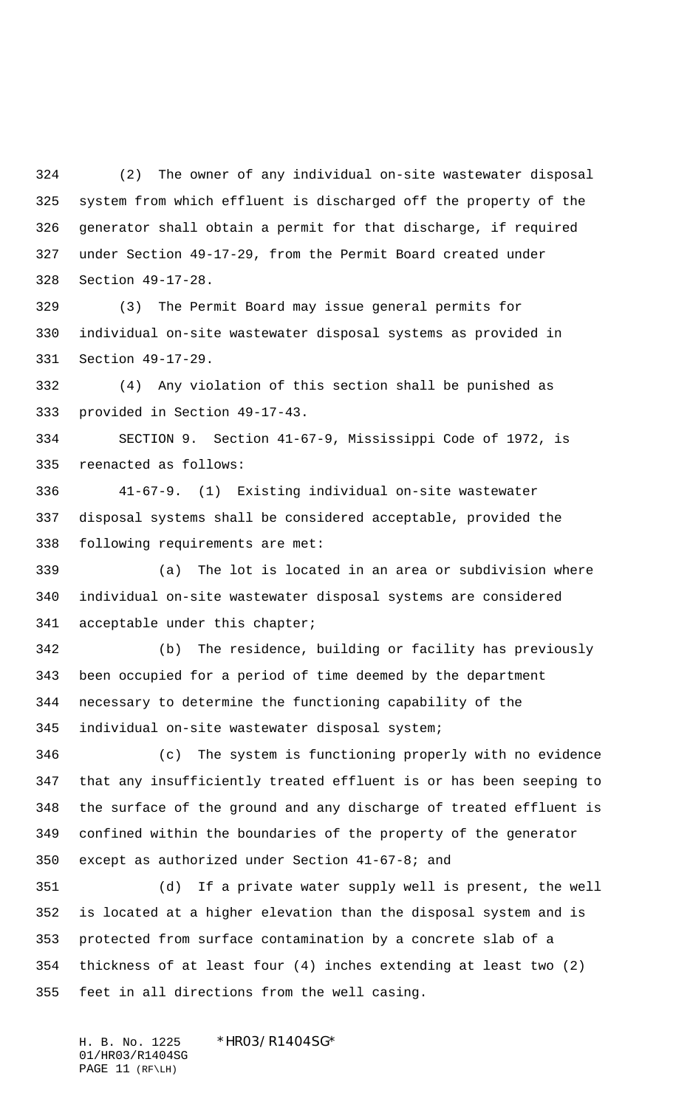(2) The owner of any individual on-site wastewater disposal system from which effluent is discharged off the property of the generator shall obtain a permit for that discharge, if required under Section 49-17-29, from the Permit Board created under Section 49-17-28.

 (3) The Permit Board may issue general permits for individual on-site wastewater disposal systems as provided in Section 49-17-29.

 (4) Any violation of this section shall be punished as provided in Section 49-17-43.

 SECTION 9. Section 41-67-9, Mississippi Code of 1972, is reenacted as follows:

 41-67-9. (1) Existing individual on-site wastewater disposal systems shall be considered acceptable, provided the following requirements are met:

 (a) The lot is located in an area or subdivision where individual on-site wastewater disposal systems are considered acceptable under this chapter;

 (b) The residence, building or facility has previously been occupied for a period of time deemed by the department necessary to determine the functioning capability of the individual on-site wastewater disposal system;

 (c) The system is functioning properly with no evidence that any insufficiently treated effluent is or has been seeping to the surface of the ground and any discharge of treated effluent is confined within the boundaries of the property of the generator except as authorized under Section 41-67-8; and

 (d) If a private water supply well is present, the well is located at a higher elevation than the disposal system and is protected from surface contamination by a concrete slab of a thickness of at least four (4) inches extending at least two (2) feet in all directions from the well casing.

H. B. No. 1225 \*HR03/R1404SG\* 01/HR03/R1404SG PAGE 11 (RF\LH)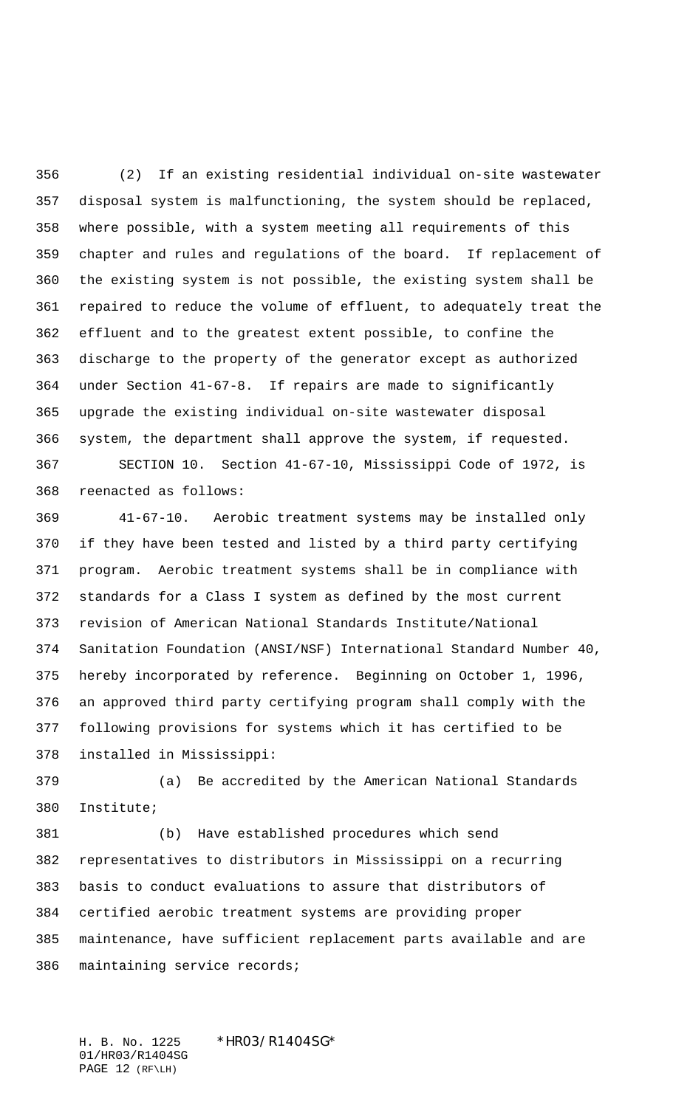(2) If an existing residential individual on-site wastewater disposal system is malfunctioning, the system should be replaced, where possible, with a system meeting all requirements of this chapter and rules and regulations of the board. If replacement of the existing system is not possible, the existing system shall be repaired to reduce the volume of effluent, to adequately treat the effluent and to the greatest extent possible, to confine the discharge to the property of the generator except as authorized under Section 41-67-8. If repairs are made to significantly upgrade the existing individual on-site wastewater disposal system, the department shall approve the system, if requested. SECTION 10. Section 41-67-10, Mississippi Code of 1972, is

reenacted as follows:

 41-67-10. Aerobic treatment systems may be installed only if they have been tested and listed by a third party certifying program. Aerobic treatment systems shall be in compliance with standards for a Class I system as defined by the most current revision of American National Standards Institute/National Sanitation Foundation (ANSI/NSF) International Standard Number 40, hereby incorporated by reference. Beginning on October 1, 1996, an approved third party certifying program shall comply with the following provisions for systems which it has certified to be installed in Mississippi:

 (a) Be accredited by the American National Standards Institute;

 (b) Have established procedures which send representatives to distributors in Mississippi on a recurring basis to conduct evaluations to assure that distributors of certified aerobic treatment systems are providing proper maintenance, have sufficient replacement parts available and are maintaining service records;

H. B. No. 1225 \* HRO3/R1404SG\* 01/HR03/R1404SG PAGE 12 (RF\LH)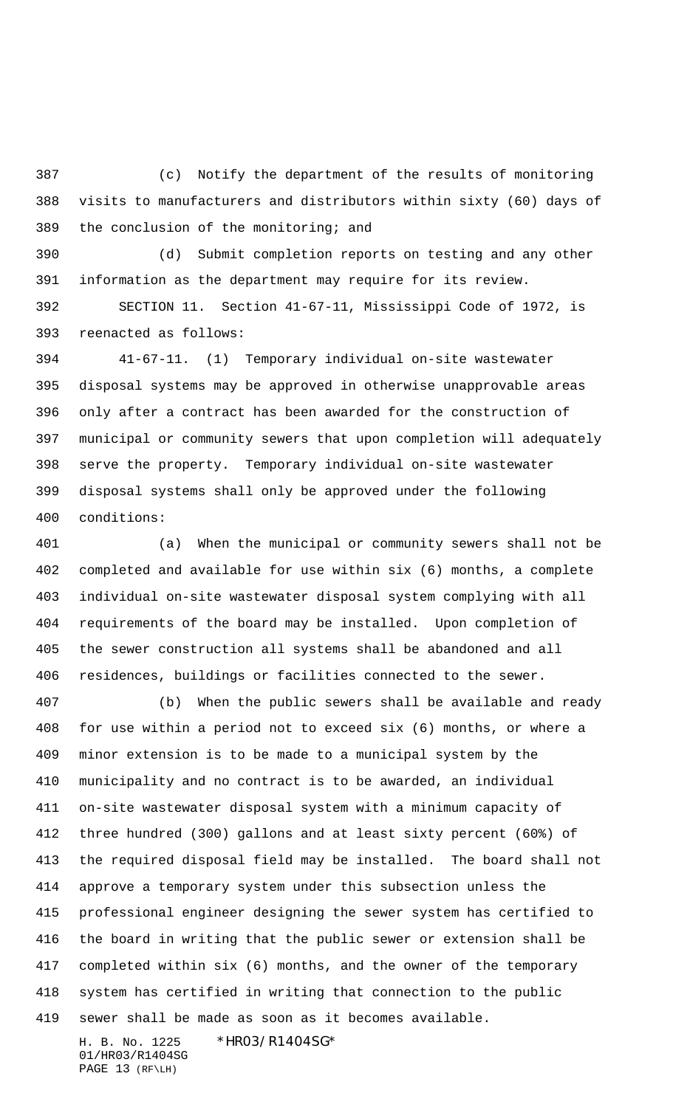(c) Notify the department of the results of monitoring visits to manufacturers and distributors within sixty (60) days of the conclusion of the monitoring; and

 (d) Submit completion reports on testing and any other information as the department may require for its review.

 SECTION 11. Section 41-67-11, Mississippi Code of 1972, is reenacted as follows:

 41-67-11. (1) Temporary individual on-site wastewater disposal systems may be approved in otherwise unapprovable areas only after a contract has been awarded for the construction of municipal or community sewers that upon completion will adequately serve the property. Temporary individual on-site wastewater disposal systems shall only be approved under the following conditions:

 (a) When the municipal or community sewers shall not be completed and available for use within six (6) months, a complete individual on-site wastewater disposal system complying with all requirements of the board may be installed. Upon completion of the sewer construction all systems shall be abandoned and all residences, buildings or facilities connected to the sewer.

 (b) When the public sewers shall be available and ready for use within a period not to exceed six (6) months, or where a minor extension is to be made to a municipal system by the municipality and no contract is to be awarded, an individual on-site wastewater disposal system with a minimum capacity of three hundred (300) gallons and at least sixty percent (60%) of the required disposal field may be installed. The board shall not approve a temporary system under this subsection unless the professional engineer designing the sewer system has certified to the board in writing that the public sewer or extension shall be completed within six (6) months, and the owner of the temporary system has certified in writing that connection to the public sewer shall be made as soon as it becomes available.

H. B. No. 1225 \* HRO3/R14O4SG\* 01/HR03/R1404SG PAGE 13 (RF\LH)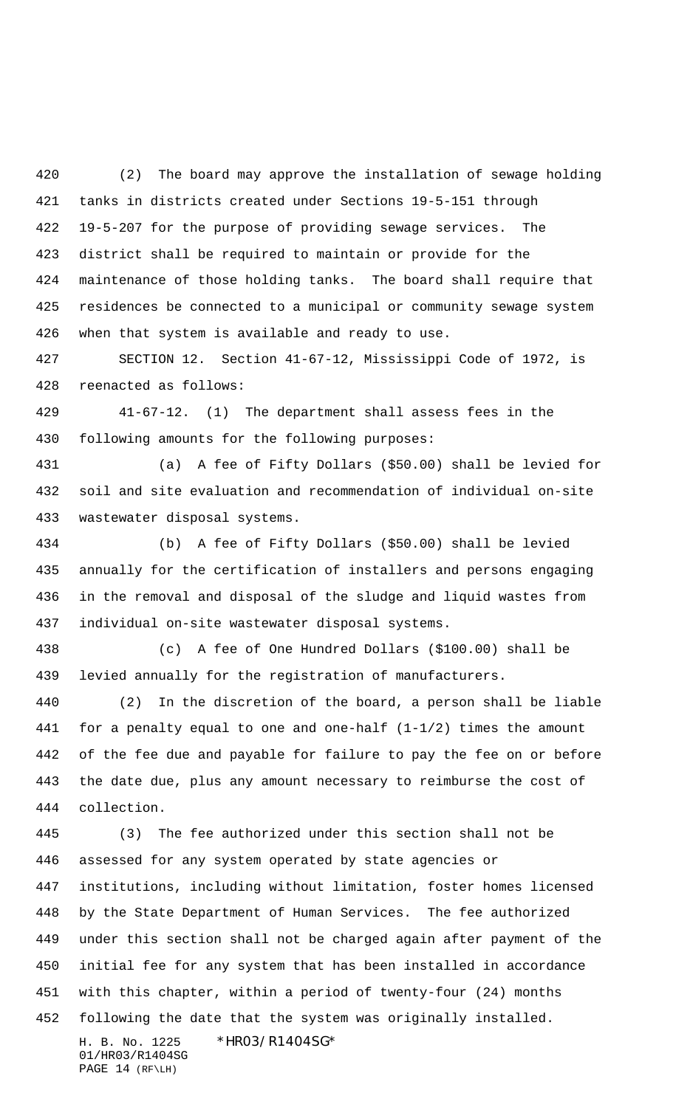(2) The board may approve the installation of sewage holding tanks in districts created under Sections 19-5-151 through 19-5-207 for the purpose of providing sewage services. The district shall be required to maintain or provide for the maintenance of those holding tanks. The board shall require that residences be connected to a municipal or community sewage system when that system is available and ready to use.

 SECTION 12. Section 41-67-12, Mississippi Code of 1972, is reenacted as follows:

 41-67-12. (1) The department shall assess fees in the following amounts for the following purposes:

 (a) A fee of Fifty Dollars (\$50.00) shall be levied for soil and site evaluation and recommendation of individual on-site wastewater disposal systems.

 (b) A fee of Fifty Dollars (\$50.00) shall be levied annually for the certification of installers and persons engaging in the removal and disposal of the sludge and liquid wastes from individual on-site wastewater disposal systems.

 (c) A fee of One Hundred Dollars (\$100.00) shall be levied annually for the registration of manufacturers.

 (2) In the discretion of the board, a person shall be liable for a penalty equal to one and one-half (1-1/2) times the amount of the fee due and payable for failure to pay the fee on or before the date due, plus any amount necessary to reimburse the cost of collection.

H. B. No. 1225 \* HRO3/R14O4SG\* 01/HR03/R1404SG (3) The fee authorized under this section shall not be assessed for any system operated by state agencies or institutions, including without limitation, foster homes licensed by the State Department of Human Services. The fee authorized under this section shall not be charged again after payment of the initial fee for any system that has been installed in accordance with this chapter, within a period of twenty-four (24) months following the date that the system was originally installed.

PAGE 14 (RF\LH)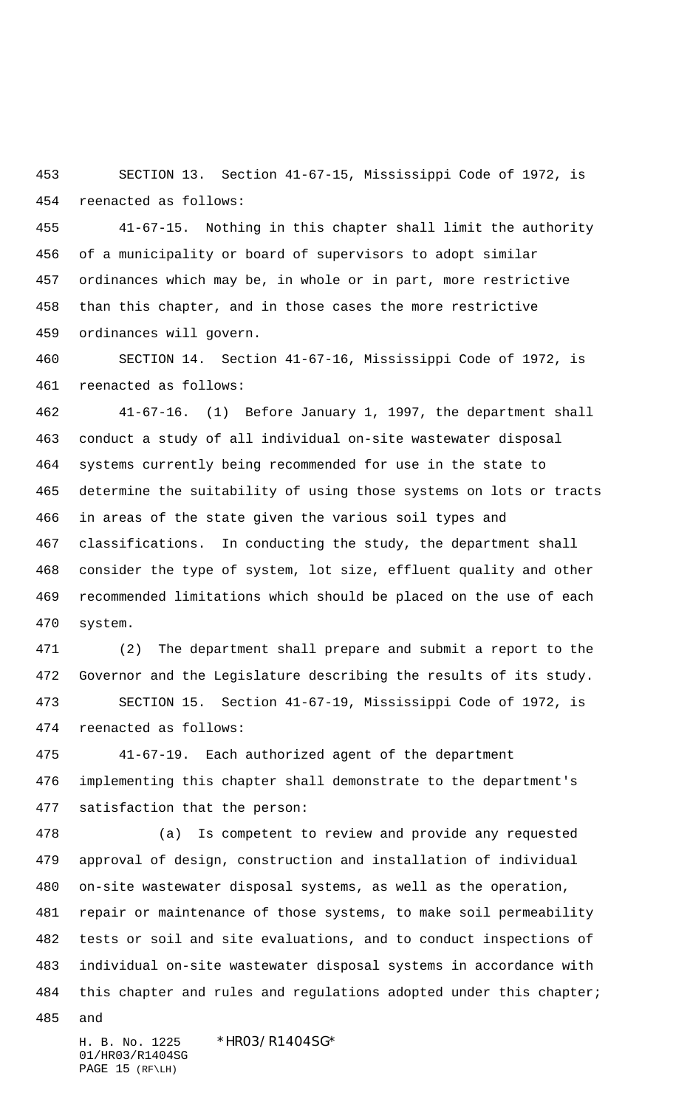SECTION 13. Section 41-67-15, Mississippi Code of 1972, is reenacted as follows:

 41-67-15. Nothing in this chapter shall limit the authority of a municipality or board of supervisors to adopt similar ordinances which may be, in whole or in part, more restrictive than this chapter, and in those cases the more restrictive ordinances will govern.

 SECTION 14. Section 41-67-16, Mississippi Code of 1972, is reenacted as follows:

 41-67-16. (1) Before January 1, 1997, the department shall conduct a study of all individual on-site wastewater disposal systems currently being recommended for use in the state to determine the suitability of using those systems on lots or tracts in areas of the state given the various soil types and classifications. In conducting the study, the department shall consider the type of system, lot size, effluent quality and other recommended limitations which should be placed on the use of each system.

 (2) The department shall prepare and submit a report to the Governor and the Legislature describing the results of its study. SECTION 15. Section 41-67-19, Mississippi Code of 1972, is

reenacted as follows:

 41-67-19. Each authorized agent of the department implementing this chapter shall demonstrate to the department's satisfaction that the person:

 (a) Is competent to review and provide any requested approval of design, construction and installation of individual on-site wastewater disposal systems, as well as the operation, repair or maintenance of those systems, to make soil permeability tests or soil and site evaluations, and to conduct inspections of individual on-site wastewater disposal systems in accordance with 484 this chapter and rules and regulations adopted under this chapter;

and

H. B. No. 1225 \* HRO3/R14O4SG\* 01/HR03/R1404SG PAGE 15 (RF\LH)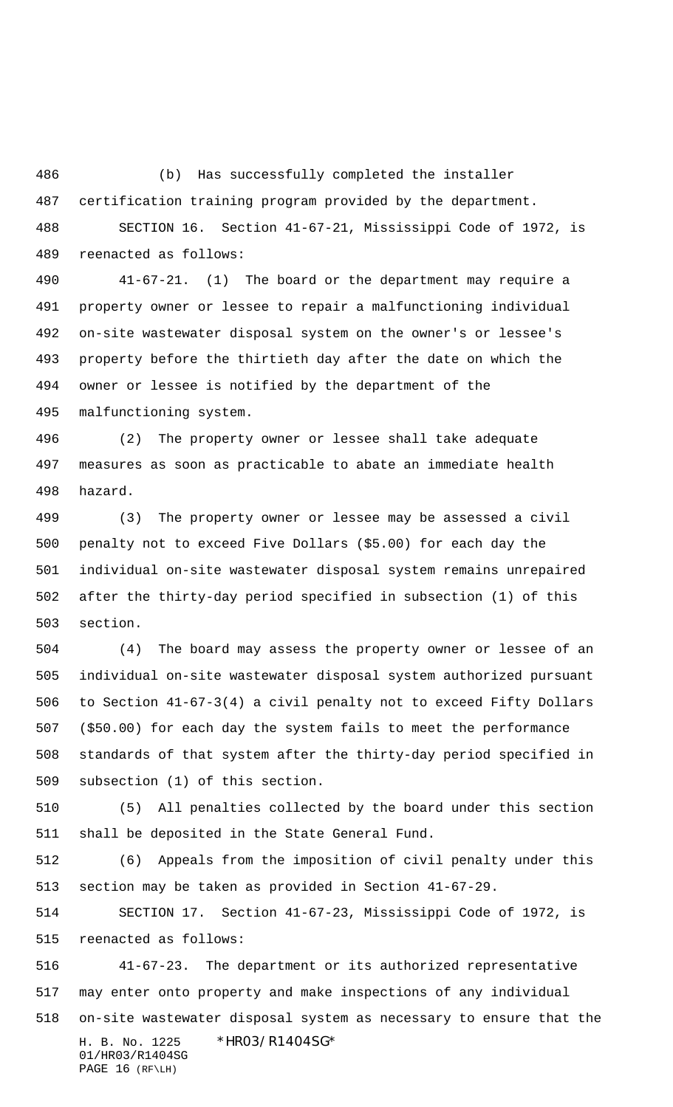(b) Has successfully completed the installer

certification training program provided by the department.

 SECTION 16. Section 41-67-21, Mississippi Code of 1972, is reenacted as follows:

 41-67-21. (1) The board or the department may require a property owner or lessee to repair a malfunctioning individual on-site wastewater disposal system on the owner's or lessee's property before the thirtieth day after the date on which the owner or lessee is notified by the department of the malfunctioning system.

 (2) The property owner or lessee shall take adequate measures as soon as practicable to abate an immediate health hazard.

 (3) The property owner or lessee may be assessed a civil penalty not to exceed Five Dollars (\$5.00) for each day the individual on-site wastewater disposal system remains unrepaired after the thirty-day period specified in subsection (1) of this section.

 (4) The board may assess the property owner or lessee of an individual on-site wastewater disposal system authorized pursuant to Section 41-67-3(4) a civil penalty not to exceed Fifty Dollars (\$50.00) for each day the system fails to meet the performance standards of that system after the thirty-day period specified in subsection (1) of this section.

 (5) All penalties collected by the board under this section shall be deposited in the State General Fund.

 (6) Appeals from the imposition of civil penalty under this section may be taken as provided in Section 41-67-29.

 SECTION 17. Section 41-67-23, Mississippi Code of 1972, is reenacted as follows:

H. B. No. 1225 \* HRO3/R14O4SG\* 01/HR03/R1404SG PAGE 16 (RF\LH) 41-67-23. The department or its authorized representative may enter onto property and make inspections of any individual on-site wastewater disposal system as necessary to ensure that the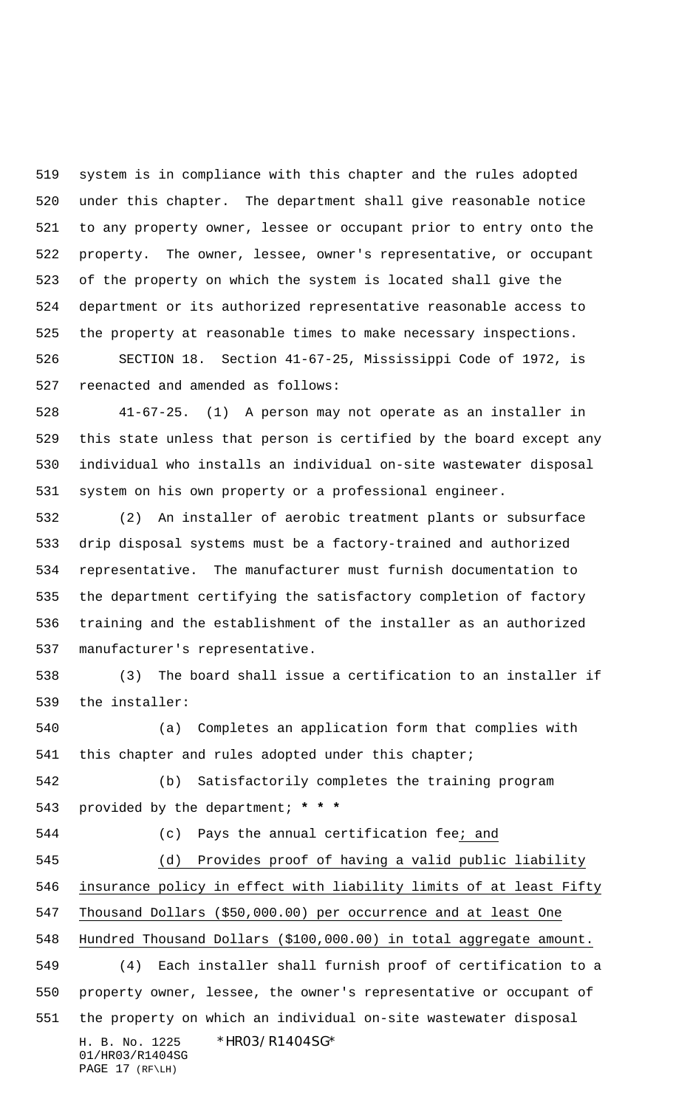system is in compliance with this chapter and the rules adopted under this chapter. The department shall give reasonable notice to any property owner, lessee or occupant prior to entry onto the property. The owner, lessee, owner's representative, or occupant of the property on which the system is located shall give the department or its authorized representative reasonable access to the property at reasonable times to make necessary inspections.

 SECTION 18. Section 41-67-25, Mississippi Code of 1972, is reenacted and amended as follows:

 41-67-25. (1) A person may not operate as an installer in this state unless that person is certified by the board except any individual who installs an individual on-site wastewater disposal system on his own property or a professional engineer.

 (2) An installer of aerobic treatment plants or subsurface drip disposal systems must be a factory-trained and authorized representative. The manufacturer must furnish documentation to the department certifying the satisfactory completion of factory training and the establishment of the installer as an authorized manufacturer's representative.

 (3) The board shall issue a certification to an installer if the installer:

 (a) Completes an application form that complies with 541 this chapter and rules adopted under this chapter;

 (b) Satisfactorily completes the training program provided by the department; **\* \* \***

(c) Pays the annual certification fee; and

 (d) Provides proof of having a valid public liability insurance policy in effect with liability limits of at least Fifty Thousand Dollars (\$50,000.00) per occurrence and at least One Hundred Thousand Dollars (\$100,000.00) in total aggregate amount. (4) Each installer shall furnish proof of certification to a property owner, lessee, the owner's representative or occupant of the property on which an individual on-site wastewater disposal

H. B. No. 1225 \* HRO3/R14O4SG\* 01/HR03/R1404SG PAGE 17 (RF\LH)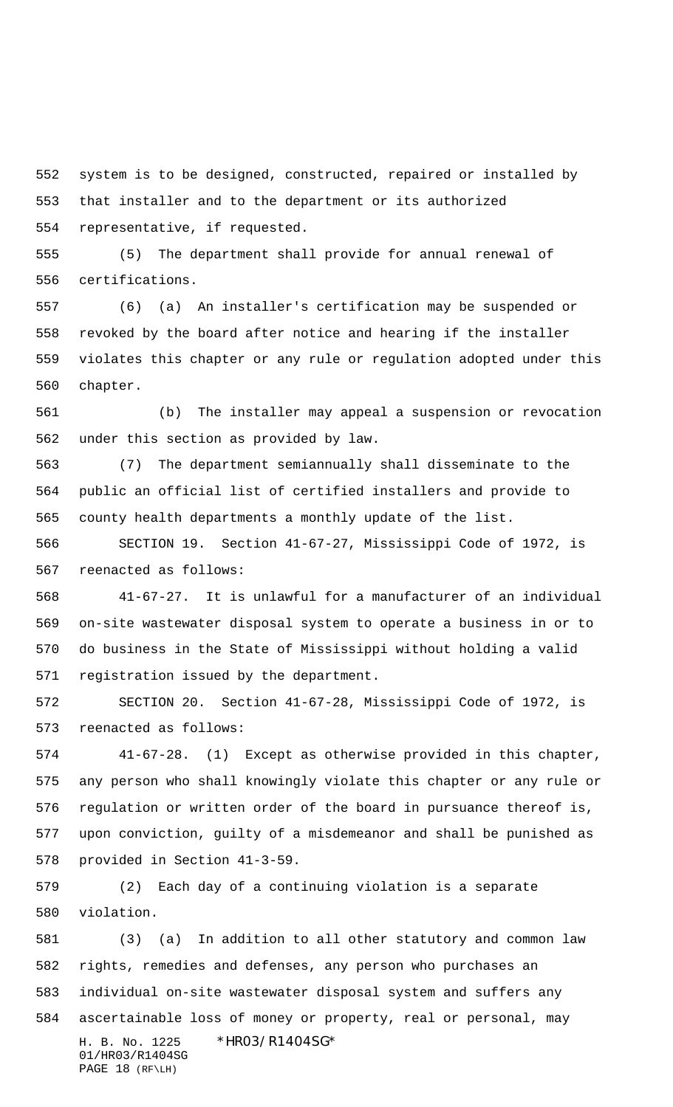system is to be designed, constructed, repaired or installed by that installer and to the department or its authorized representative, if requested.

 (5) The department shall provide for annual renewal of certifications.

 (6) (a) An installer's certification may be suspended or revoked by the board after notice and hearing if the installer violates this chapter or any rule or regulation adopted under this chapter.

 (b) The installer may appeal a suspension or revocation under this section as provided by law.

 (7) The department semiannually shall disseminate to the public an official list of certified installers and provide to county health departments a monthly update of the list.

 SECTION 19. Section 41-67-27, Mississippi Code of 1972, is reenacted as follows:

 41-67-27. It is unlawful for a manufacturer of an individual on-site wastewater disposal system to operate a business in or to do business in the State of Mississippi without holding a valid registration issued by the department.

 SECTION 20. Section 41-67-28, Mississippi Code of 1972, is reenacted as follows:

 41-67-28. (1) Except as otherwise provided in this chapter, any person who shall knowingly violate this chapter or any rule or regulation or written order of the board in pursuance thereof is, upon conviction, guilty of a misdemeanor and shall be punished as provided in Section 41-3-59.

 (2) Each day of a continuing violation is a separate violation.

H. B. No. 1225 \* HRO3/R14O4SG\* 01/HR03/R1404SG PAGE 18 (RF\LH) (3) (a) In addition to all other statutory and common law rights, remedies and defenses, any person who purchases an individual on-site wastewater disposal system and suffers any ascertainable loss of money or property, real or personal, may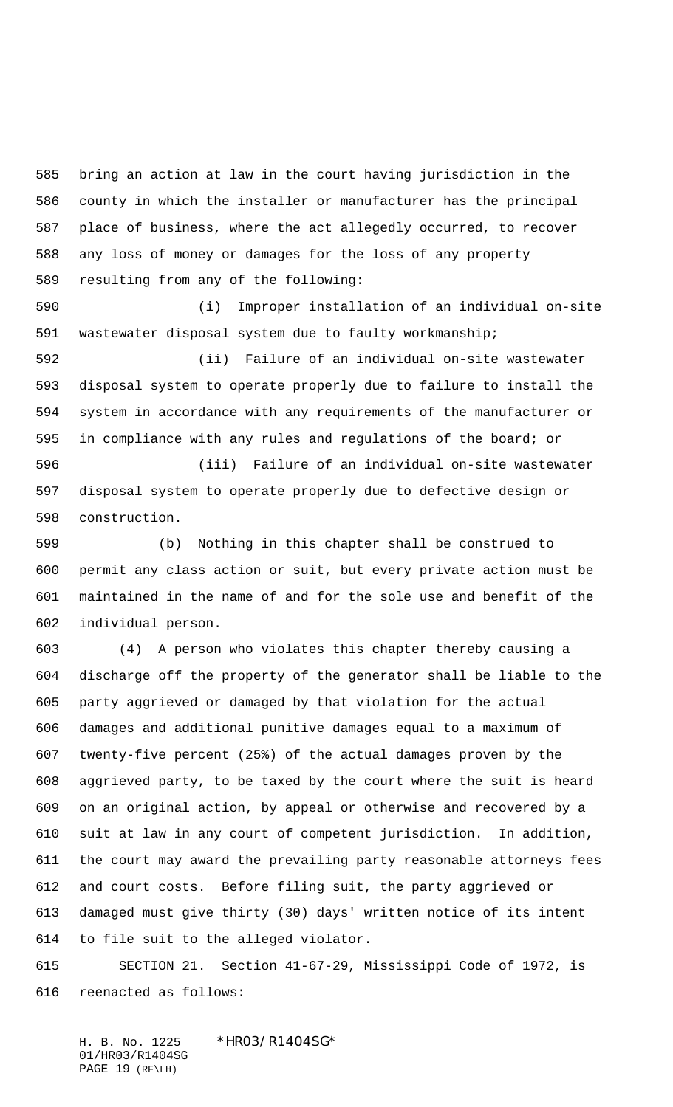bring an action at law in the court having jurisdiction in the county in which the installer or manufacturer has the principal place of business, where the act allegedly occurred, to recover any loss of money or damages for the loss of any property resulting from any of the following:

 (i) Improper installation of an individual on-site wastewater disposal system due to faulty workmanship;

 (ii) Failure of an individual on-site wastewater disposal system to operate properly due to failure to install the system in accordance with any requirements of the manufacturer or in compliance with any rules and regulations of the board; or

 (iii) Failure of an individual on-site wastewater disposal system to operate properly due to defective design or construction.

 (b) Nothing in this chapter shall be construed to permit any class action or suit, but every private action must be maintained in the name of and for the sole use and benefit of the individual person.

 (4) A person who violates this chapter thereby causing a discharge off the property of the generator shall be liable to the party aggrieved or damaged by that violation for the actual damages and additional punitive damages equal to a maximum of twenty-five percent (25%) of the actual damages proven by the aggrieved party, to be taxed by the court where the suit is heard on an original action, by appeal or otherwise and recovered by a suit at law in any court of competent jurisdiction. In addition, the court may award the prevailing party reasonable attorneys fees and court costs. Before filing suit, the party aggrieved or damaged must give thirty (30) days' written notice of its intent to file suit to the alleged violator.

 SECTION 21. Section 41-67-29, Mississippi Code of 1972, is reenacted as follows:

H. B. No. 1225 \* HRO3/R1404SG\* 01/HR03/R1404SG PAGE 19 (RF\LH)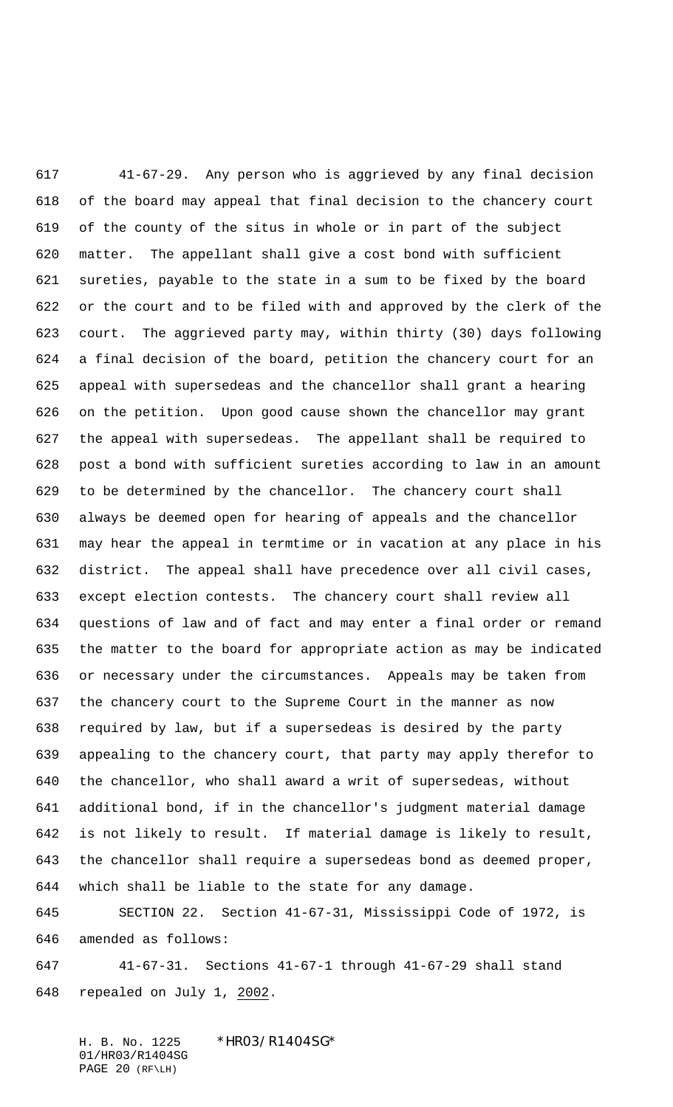41-67-29. Any person who is aggrieved by any final decision of the board may appeal that final decision to the chancery court of the county of the situs in whole or in part of the subject matter. The appellant shall give a cost bond with sufficient sureties, payable to the state in a sum to be fixed by the board or the court and to be filed with and approved by the clerk of the court. The aggrieved party may, within thirty (30) days following a final decision of the board, petition the chancery court for an appeal with supersedeas and the chancellor shall grant a hearing on the petition. Upon good cause shown the chancellor may grant the appeal with supersedeas. The appellant shall be required to post a bond with sufficient sureties according to law in an amount to be determined by the chancellor. The chancery court shall always be deemed open for hearing of appeals and the chancellor may hear the appeal in termtime or in vacation at any place in his district. The appeal shall have precedence over all civil cases, except election contests. The chancery court shall review all questions of law and of fact and may enter a final order or remand the matter to the board for appropriate action as may be indicated or necessary under the circumstances. Appeals may be taken from the chancery court to the Supreme Court in the manner as now required by law, but if a supersedeas is desired by the party appealing to the chancery court, that party may apply therefor to the chancellor, who shall award a writ of supersedeas, without additional bond, if in the chancellor's judgment material damage is not likely to result. If material damage is likely to result, the chancellor shall require a supersedeas bond as deemed proper, which shall be liable to the state for any damage.

 SECTION 22. Section 41-67-31, Mississippi Code of 1972, is amended as follows:

 41-67-31. Sections 41-67-1 through 41-67-29 shall stand repealed on July 1, 2002.

H. B. No. 1225 \*HR03/R1404SG\* 01/HR03/R1404SG PAGE 20 (RF\LH)